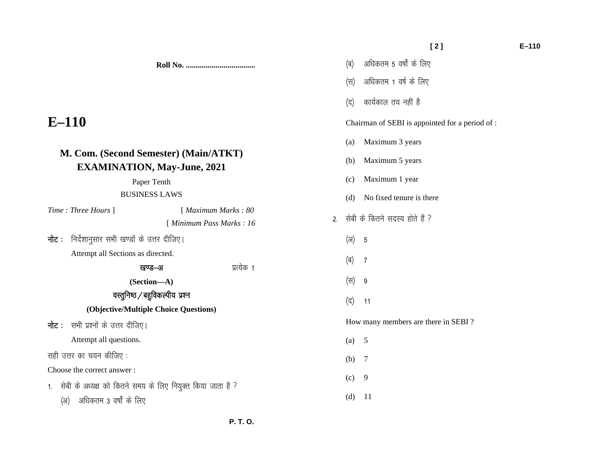|  | (ब) अधिकतम 5 वर्षों के लिए |  |  |  |  |  |
|--|----------------------------|--|--|--|--|--|
|--|----------------------------|--|--|--|--|--|

- (स) अधिकतम 1 वर्ष के लिए
- $\sigma$  (द) कार्यकाल तय नहीं है

Chairman of SEBI is appointed for a period of :

- (a) Maximum 3 years
- (b) Maximum 5 years
- (c) Maximum 1 year
- (d) No fixed tenure is there
- 2. सेबी के कितने सदस्य होते हैं ?
	- $(3)$  5
	- (ब) 7
	- (स) 9
	- $($ द $)$  11

How many members are there in SEBI ?

- (a) 5
- (b) 7
- $(c)$  9
- (d) 11

# **E–110**

## **M. Com. (Second Semester) (Main/ATKT) EXAMINATION, May-June, 2021**

Paper Tenth

#### BUSINESS LAWS

 **P. T. O.** 

| Time: Three Hours 1                                           |                                       | [ Maximum Marks: 80       |  |  |  |
|---------------------------------------------------------------|---------------------------------------|---------------------------|--|--|--|
|                                                               |                                       | [ Minimum Pass Marks : 16 |  |  |  |
| <b>नोट</b> :   निर्देशानुसार सभी खण्डों के उत्तर दीजिए।       |                                       |                           |  |  |  |
| Attempt all Sections as directed.                             |                                       |                           |  |  |  |
|                                                               | खण्ड—अ                                | प्रत्येक 1                |  |  |  |
|                                                               | (Section—A)                           |                           |  |  |  |
|                                                               | वस्तुनिष्ठ / बहुविकल्पीय प्रश्न       |                           |  |  |  |
|                                                               | (Objective/Multiple Choice Questions) |                           |  |  |  |
| <b>नोट</b> :   सभी प्रश्नों के उत्तर दीजिए।                   |                                       |                           |  |  |  |
| Attempt all questions.                                        |                                       |                           |  |  |  |
| सही उत्तर का चयन कीजिए :                                      |                                       |                           |  |  |  |
| Choose the correct answer:                                    |                                       |                           |  |  |  |
| 1. सेबी के अध्यक्ष को कितने समय के लिए नियुक्त किया जाता है ? |                                       |                           |  |  |  |

**Roll No. ...................................** 

(अ) अधिकतम 3 वर्षों के लिए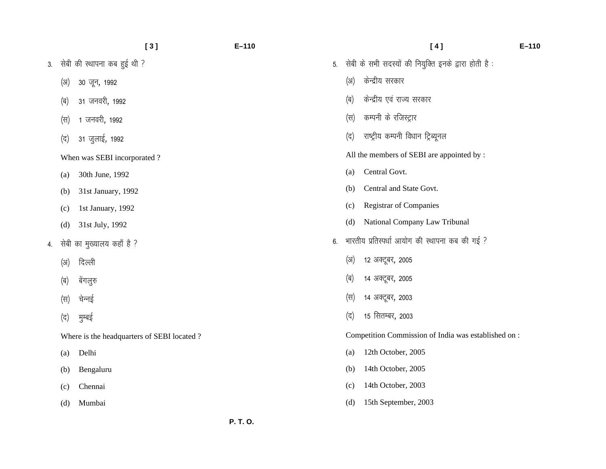|    |      | [3]                                        | $E - 110$ |    |      | [4]                                                  | $E - 110$ |
|----|------|--------------------------------------------|-----------|----|------|------------------------------------------------------|-----------|
|    |      | 3. सेबी की स्थापना कब हुई थी ?             |           | 5. |      | सेबी के सभी सदस्यों की नियुक्ति इनके द्वारा होती है: |           |
|    | (3I) | 30 जून, 1992                               |           |    | (3I) | केन्द्रीय सरकार                                      |           |
|    | (ब)  | 31 जनवरी, 1992                             |           |    | (ब)  | केन्द्रीय एवं राज्य सरकार                            |           |
|    | (स)  | 1 जनवरी, 1992                              |           |    | (स)  | कम्पनी के रजिस्ट्रार                                 |           |
|    | (द)  | 31 जुलाई, 1992                             |           |    | (द)  | राष्ट्रीय कम्पनी विधान ट्रिब्यूनल                    |           |
|    |      | When was SEBI incorporated?                |           |    |      | All the members of SEBI are appointed by :           |           |
|    | (a)  | 30th June, 1992                            |           |    | (a)  | Central Govt.                                        |           |
|    | (b)  | 31st January, 1992                         |           |    | (b)  | Central and State Govt.                              |           |
|    | (c)  | 1st January, 1992                          |           |    | (c)  | <b>Registrar of Companies</b>                        |           |
|    | (d)  | 31st July, 1992                            |           |    | (d)  | National Company Law Tribunal                        |           |
| 4. |      | सेबी का मुख्यालय कहाँ है ?                 |           | 6. |      | भारतीय प्रतिस्पर्धा आयोग की स्थापना कब की गई ?       |           |
|    | (3I) | दिल्ली                                     |           |    | (3I) | 12 अक्टूबर, 2005                                     |           |
|    | (ब)  | बेंगलुरु                                   |           |    | (ब)  | 14 अक्टूबर, 2005                                     |           |
|    | (स)  | चेन्नई                                     |           |    | (स)  | 14 अक्टूबर, 2003                                     |           |
|    | (द)  | मुम्बई                                     |           |    | (द)  | 15 सितम्बर, 2003                                     |           |
|    |      | Where is the headquarters of SEBI located? |           |    |      | Competition Commission of India was established on : |           |
|    | (a)  | Delhi                                      |           |    | (a)  | 12th October, 2005                                   |           |
|    | (b)  | Bengaluru                                  |           |    | (b)  | 14th October, 2005                                   |           |
|    | (c)  | Chennai                                    |           |    | (c)  | 14th October, 2003                                   |           |
|    | (d)  | Mumbai                                     |           |    | (d)  | 15th September, 2003                                 |           |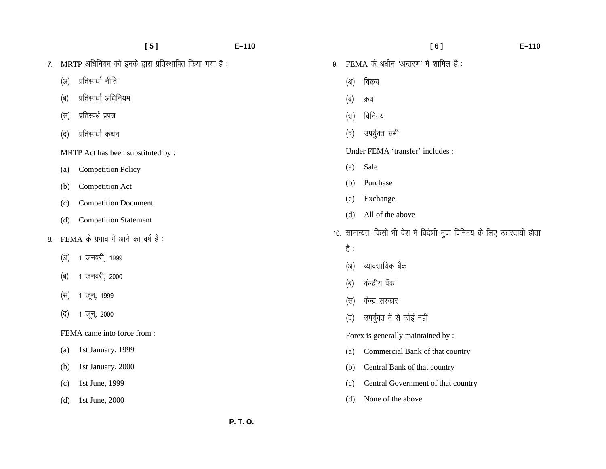|    |                   | [5]                                                   | $E-110$ |    |      | [6]                                                                      | $E - 110$ |
|----|-------------------|-------------------------------------------------------|---------|----|------|--------------------------------------------------------------------------|-----------|
| 7. |                   | MRTP अधिनियम को इनके द्वारा प्रतिस्थापित किया गया है: |         | 9. |      | FEMA के अधीन 'अन्तरण' में शामिल है:                                      |           |
|    | (3I)              | प्रतिस्पर्धा नीति                                     |         |    | (3I) | विक्रय                                                                   |           |
|    | (ब)               | प्रतिस्पर्धा अधिनियम                                  |         |    | (ৰ)  | क्रय                                                                     |           |
|    | (स)               | प्रतिस्पर्ध प्रपत्र                                   |         |    | (स)  | विनिमय                                                                   |           |
|    | (द)               | प्रतिस्पर्धा कथन                                      |         |    | (द)  | उपर्युक्त सभी                                                            |           |
|    |                   | MRTP Act has been substituted by :                    |         |    |      | Under FEMA 'transfer' includes :                                         |           |
|    | $\left( a\right)$ | <b>Competition Policy</b>                             |         |    | (a)  | Sale                                                                     |           |
|    | (b)               | <b>Competition Act</b>                                |         |    | (b)  | Purchase                                                                 |           |
|    | (c)               | <b>Competition Document</b>                           |         |    | (c)  | Exchange                                                                 |           |
|    | (d)               | <b>Competition Statement</b>                          |         |    | (d)  | All of the above                                                         |           |
| 8. |                   | FEMA के प्रभाव में आने का वर्ष है:                    |         |    |      | 10. सामान्यतः किसी भी देश में विदेशी मुद्रा विनिमय के लिए उत्तरदायी होता |           |
|    | (3)               | 1 जनवरी, 1999                                         |         |    | है : |                                                                          |           |
|    |                   |                                                       |         |    | (3I) | व्यावसायिक बैंक                                                          |           |
|    | (ब)               | 1 जनवरी, 2000                                         |         |    | (ब)  | केन्द्रीय बैंक                                                           |           |
|    | (स)               | 1 जून, 1999                                           |         |    | (स)  | केन्द्र सरकार                                                            |           |
|    | (द)               | 1 जून, 2000                                           |         |    | (द)  | उपर्युक्त में से कोई नहीं                                                |           |
|    |                   | FEMA came into force from:                            |         |    |      | Forex is generally maintained by :                                       |           |
|    | (a)               | 1st January, 1999                                     |         |    | (a)  | Commercial Bank of that country                                          |           |
|    | (b)               | 1st January, 2000                                     |         |    | (b)  | Central Bank of that country                                             |           |
|    | (c)               | 1st June, 1999                                        |         |    | (c)  | Central Government of that country                                       |           |
|    | (d)               | 1st June, 2000                                        |         |    | (d)  | None of the above                                                        |           |
|    |                   |                                                       |         |    |      |                                                                          |           |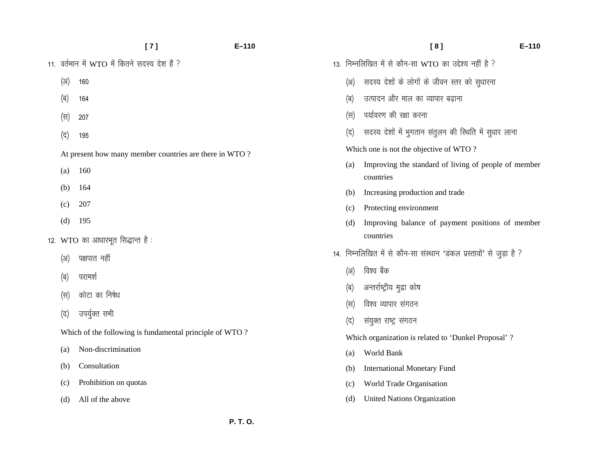|      | [7]                                                     | $E - 110$ |
|------|---------------------------------------------------------|-----------|
|      | 11. वर्तमान में WTO में कितने सदस्य देश हैं ?           |           |
| (3I) | 160                                                     |           |
| (ब)  | 164                                                     |           |
| (स)  | 207                                                     |           |
| (द)  | 195                                                     |           |
|      | At present how many member countries are there in WTO?  |           |
| (a)  | 160                                                     |           |
| (b)  | 164                                                     |           |
| (c)  | 207                                                     |           |
| (d)  | 195                                                     |           |
|      | 12. WTO का आधारभूत सिद्धान्त है:                        |           |
| (अ)  | पक्षपात नहीं                                            |           |
|      | (ब) परामर्श                                             |           |
|      | (स) कोटा का निषेध                                       |           |
| (द)  | उपर्युक्त सभी                                           |           |
|      | Which of the following is fundamental principle of WTO? |           |
| (a)  | Non-discrimination                                      |           |
| (b)  | Consultation                                            |           |
| (c)  | Prohibition on quotas                                   |           |

(d) All of the above

|     | [8]                                                                  | $E - 110$ |
|-----|----------------------------------------------------------------------|-----------|
|     | 13. निम्नलिखित में से कौन-सा WTO का उद्देश्य नहीं है ?               |           |
| (अ) | सदस्य देशों के लोगों के जीवन स्तर को सुधारना                         |           |
| (ब) | उत्पादन और माल का व्यापार बढाना                                      |           |
| (स) | पर्यावरण की रक्षा करना                                               |           |
| (द) | सदस्य देशों में भुगतान संतुलन की स्थिति में सुधार लाना               |           |
|     | Which one is not the objective of WTO?                               |           |
| (a) | Improving the standard of living of people of member<br>countries    |           |
| (b) | Increasing production and trade                                      |           |
| (c) | Protecting environment                                               |           |
| (d) | Improving balance of payment positions of member<br>countries        |           |
|     | 14. निम्नलिखित में से कौन-सा संस्थान 'डंकल प्रस्तावों' से जुड़ा है ? |           |
|     | (अ) विश्व बैंक                                                       |           |
|     | (ब) - अन्तर्राष्ट्रीय मुद्रा कोष                                     |           |
| (स) | विश्व व्यापार संगठन                                                  |           |
| (द) | संयुक्त राष्ट्र संगठन                                                |           |
|     | Which organization is related to 'Dunkel Proposal' ?                 |           |
| (a) | World Bank                                                           |           |
| (b) | <b>International Monetary Fund</b>                                   |           |
| (c) | World Trade Organisation                                             |           |
| (d) | <b>United Nations Organization</b>                                   |           |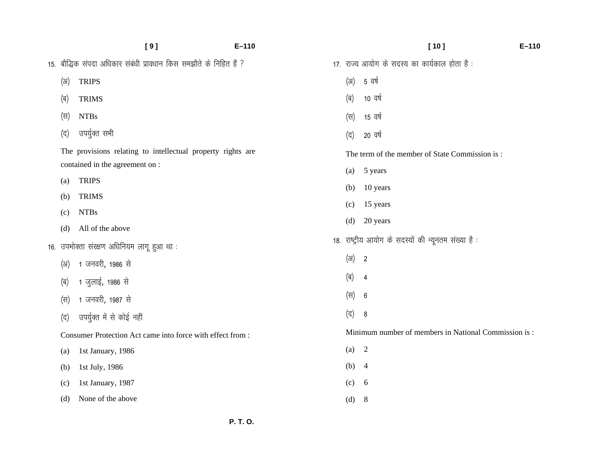|      | [9]                                                                                            | $E - 110$ |                  | [10]                                                      | $E - 110$ |
|------|------------------------------------------------------------------------------------------------|-----------|------------------|-----------------------------------------------------------|-----------|
|      | 15. बौद्धिक संपदा अधिकार संबंधी प्रावधान किस समझौते के निहित हैं ?                             |           |                  | 17. राज्य आयोग के सदस्य का कार्यकाल होता है :             |           |
| (3I) | <b>TRIPS</b>                                                                                   |           | (31)             | 5 वर्ष                                                    |           |
| (ब)  | <b>TRIMS</b>                                                                                   |           | (ब)              | 10 वर्ष                                                   |           |
| (स)  | <b>NTBs</b>                                                                                    |           | $(\overline{H})$ | 15 वर्ष                                                   |           |
| (द)  | उपर्युक्त सभी                                                                                  |           | (द)              | 20 वर्ष                                                   |           |
|      | The provisions relating to intellectual property rights are<br>contained in the agreement on : |           | (a)              | The term of the member of State Commission is:<br>5 years |           |
| (a)  | <b>TRIPS</b>                                                                                   |           | (b)              | 10 years                                                  |           |
| (b)  | <b>TRIMS</b>                                                                                   |           | (c)              | 15 years                                                  |           |
| (c)  | <b>NTBs</b>                                                                                    |           | (d)              | 20 years                                                  |           |
| (d)  | All of the above<br>16. उपभोक्ता संरक्षण अधिनियम लागू हुआ था:                                  |           |                  | 18. राष्ट्रीय आयोग के सदस्यों की न्यूनतम संख्या है:       |           |
| (3)  | 1 जनवरी, 1986 से                                                                               |           | (3I)             | $\overline{\mathbf{2}}$                                   |           |
| (ब)  | 1 जुलाई, 1986 से                                                                               |           | (ब)              | $\overline{4}$                                            |           |
| (स)  | 1 जनवरी, 1987 से                                                                               |           | (स)              | 6                                                         |           |
| (द)  | उपर्युक्त में से कोई नहीं                                                                      |           | (द)              | 8                                                         |           |
|      | Consumer Protection Act came into force with effect from :                                     |           |                  | Minimum number of members in National Commission is:      |           |
| (a)  | 1st January, 1986                                                                              |           | (a)              | 2                                                         |           |
| (b)  | 1st July, 1986                                                                                 |           | (b) $4$          |                                                           |           |
| (c)  | 1st January, 1987                                                                              |           | (c)              | 6                                                         |           |
| (d)  | None of the above                                                                              |           | (d)              | 8                                                         |           |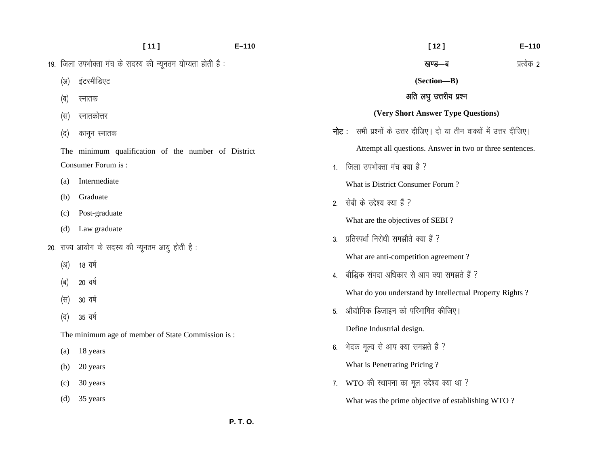|      | [11]                                                       | $E - 110$      | $E-110$<br>$[12]$                                                            |  |
|------|------------------------------------------------------------|----------------|------------------------------------------------------------------------------|--|
|      | 19. जिला उपभोक्ता मंच के सदस्य की न्यूनतम योग्यता होती है: |                | प्रत्येक 2<br>खण्ड—ब                                                         |  |
| (3I) | इंटरमीडिएट                                                 |                | (Section-B)                                                                  |  |
| (ब)  | स्नातक                                                     |                | अति लघु उत्तरीय प्रश्न                                                       |  |
| (स)  | स्नातकोत्तर                                                |                | (Very Short Answer Type Questions)                                           |  |
| (द)  | कानून स्नातक                                               |                | <b>नोट</b> : सभी प्रश्नों के उत्तर दीजिए। दो या तीन वाक्यों में उत्तर दीजिए। |  |
|      | The minimum qualification of the number of District        |                | Attempt all questions. Answer in two or three sentences.                     |  |
|      | Consumer Forum is:                                         | 1 <sub>1</sub> | जिला उपभोक्ता मंच क्या है ?                                                  |  |
| (a)  | Intermediate                                               |                | What is District Consumer Forum?                                             |  |
| (b)  | Graduate<br>Post-graduate                                  | 2.             | सेबी के उद्देश्य क्या हैं ?                                                  |  |
| (c)  |                                                            |                | What are the objectives of SEBI?                                             |  |
| (d)  | Law graduate                                               | 3.             | प्रतिस्पर्धा निरोधी समझौते क्या हैं ?                                        |  |
|      | 20. राज्य आयोग के सदस्य की न्यूनतम आयु होती है:            |                | What are anti-competition agreement?                                         |  |
| (3I) | 18 वर्ष                                                    | 4.             | बौद्धिक संपदा अधिकार से आप क्या समझते हैं ?                                  |  |
| (ब)  | 20 वर्ष                                                    |                | What do you understand by Intellectual Property Rights?                      |  |
| (स)  | 30 वर्ष                                                    | 5.             | औद्योगिक डिजाइन को परिभाषित कीजिए।                                           |  |
| (द)  | 35 वर्ष                                                    |                | Define Industrial design.                                                    |  |
|      | The minimum age of member of State Commission is:          |                |                                                                              |  |
| (a)  | 18 years                                                   | 6.             | भेदक मूल्य से आप क्या समझते हैं ?                                            |  |
| (b)  | 20 years                                                   |                | What is Penetrating Pricing?                                                 |  |
| (c)  | 30 years                                                   |                | 7. WTO की स्थापना का मूल उद्देश्य क्या था ?                                  |  |
| (d)  | 35 years                                                   |                | What was the prime objective of establishing WTO?                            |  |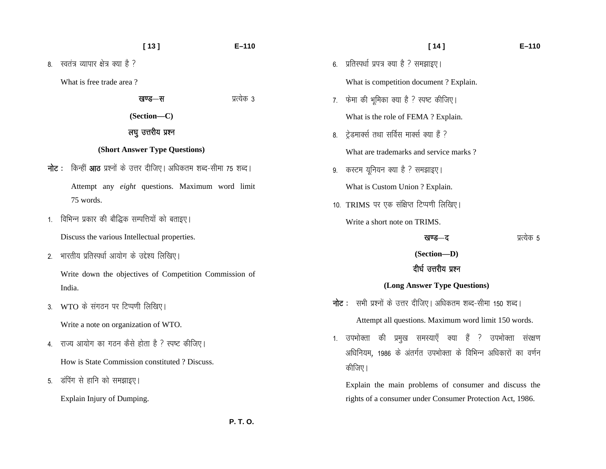#### $[13]$  $E-110$

8. स्वतंत्र व्यापार क्षेत्र क्या है ?

What is free trade area?

| खण्ड—स | प्रत्यक ३ |
|--------|-----------|
|        |           |

(Section-C)

#### लघु उत्तरीय प्रश्न

#### (Short Answer Type Questions)

**नोट**: किन्हीं **आठ** प्रश्नों के उत्तर दीजिए। अधिकतम शब्द-सीमा 75 शब्द।

Attempt any *eight* questions. Maximum word limit 75 words.

1. विभिन्न प्रकार की बौद्धिक सम्पत्तियों को बताइए।

Discuss the various Intellectual properties.

2. भारतीय प्रतिस्पर्धा आयोग के उद्देश्य लिखिए।

Write down the objectives of Competition Commission of India.

3. WTO के संगठन पर टिप्पणी लिखिए।

Write a note on organization of WTO.

- 4. राज्य आयोग का गठन कैसे होता है ? स्पष्ट कीजिए। How is State Commission constituted ? Discuss.
- 5. डंपिंग से हानि को समझाइए।

Explain Injury of Dumping.

- $[14]$
- 6. प्रतिस्पर्धा प्रपत्र क्या है ? समझाइए।

What is competition document? Explain.

7. फेमा की भूमिका क्या है ? स्पष्ट कीजिए।

What is the role of FEMA ? Explain.

- 8. ट्रेडमार्क्स तथा सर्विस मार्क्स क्या हैं ? What are trademarks and service marks?
- 9. करटम यूनियन क्या है ? समझाइए।

What is Custom Union ? Explain.

10. TRIMS पर एक संक्षिप्त टिप्पणी लिखिए। Write a short note on TRIMS.

प्रत्येक 5

 $E-110$ 

(Section-D)

खण्ड—द

### दीर्घ उत्तरीय प्रश्न

#### (Long Answer Type Questions)

नोट: सभी प्रश्नों के उत्तर दीजिए। अधिकतम शब्द-सीमा 150 शब्द।

Attempt all questions. Maximum word limit 150 words.

1. उपभोक्ता की प्रमुख समस्याएँ क्या हैं ? उपभोक्ता संरक्षण अधिनियम, 1986 के अंतर्गत उपभोक्ता के विभिन्न अधिकारों का वर्णन कीजिए।

Explain the main problems of consumer and discuss the rights of a consumer under Consumer Protection Act, 1986.